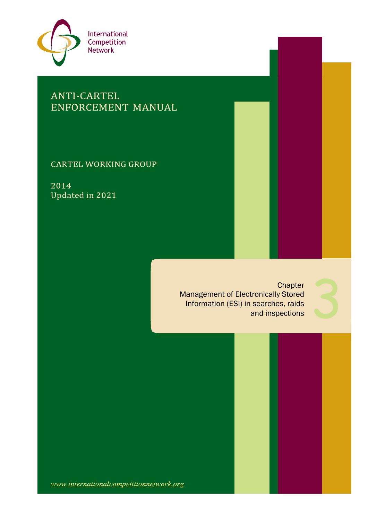

# **ANTI-CARTEL** ENFORCEMENT MANUAL

**CARTEL WORKING GROUP** 

2014 Updated in 2021

> **Chapter** Management of Electronically Stored Information (ESI) in searches, raids Chapter<br>tronically Stored<br>searches, raids<br>and inspections



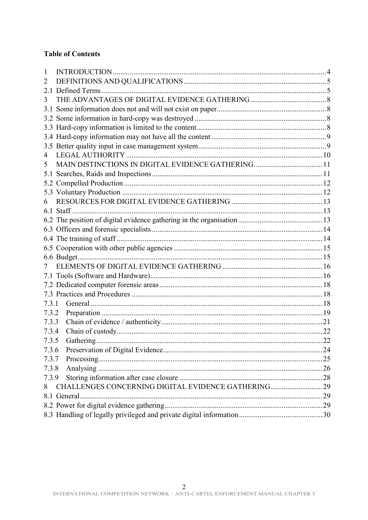# **Table of Contents**

| 1     |                                                    |  |
|-------|----------------------------------------------------|--|
| 2     |                                                    |  |
|       |                                                    |  |
| 3     |                                                    |  |
| 3.1   |                                                    |  |
|       |                                                    |  |
|       |                                                    |  |
|       |                                                    |  |
|       |                                                    |  |
| 4     |                                                    |  |
| 5     | MAIN DISTINCTIONS IN DIGITAL EVIDENCE GATHERING11  |  |
|       |                                                    |  |
|       |                                                    |  |
|       |                                                    |  |
|       |                                                    |  |
|       |                                                    |  |
|       |                                                    |  |
|       |                                                    |  |
|       |                                                    |  |
|       |                                                    |  |
|       |                                                    |  |
|       |                                                    |  |
|       |                                                    |  |
|       |                                                    |  |
|       |                                                    |  |
| 7.3.1 |                                                    |  |
| 7.3.2 |                                                    |  |
| 7.3.3 |                                                    |  |
| 7.3.4 |                                                    |  |
| 7.3.5 |                                                    |  |
| 7.3.6 |                                                    |  |
| 7.3.7 |                                                    |  |
| 7.3.8 |                                                    |  |
| 7.3.9 |                                                    |  |
| 8     | CHALLENGES CONCERNING DIGITAL EVIDENCE GATHERING29 |  |
|       |                                                    |  |
|       |                                                    |  |
|       |                                                    |  |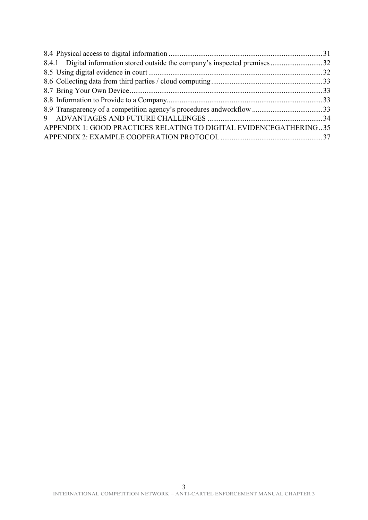| 8.4.1 Digital information stored outside the company's inspected premises32 |  |
|-----------------------------------------------------------------------------|--|
|                                                                             |  |
|                                                                             |  |
|                                                                             |  |
|                                                                             |  |
|                                                                             |  |
|                                                                             |  |
| APPENDIX 1: GOOD PRACTICES RELATING TO DIGITAL EVIDENCEGATHERING35          |  |
|                                                                             |  |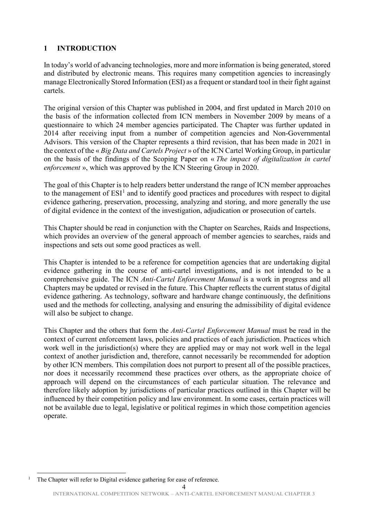# <span id="page-3-0"></span>**1 INTRODUCTION**

In today's world of advancing technologies, more and more information is being generated, stored and distributed by electronic means. This requires many competition agencies to increasingly manage Electronically Stored Information (ESI) as a frequent or standard tool in their fight against cartels.

The original version of this Chapter was published in 2004, and first updated in March 2010 on the basis of the information collected from ICN members in November 2009 by means of a questionnaire to which 24 member agencies participated. The Chapter was further updated in 2014 after receiving input from a number of competition agencies and Non-Governmental Advisors. This version of the Chapter represents a third revision, that has been made in 2021 in the context of the « *Big Data and Cartels Project* » of the ICN Cartel Working Group, in particular on the basis of the findings of the Scoping Paper on « *The impact of digitalization in cartel enforcement* », which was approved by the ICN Steering Group in 2020.

The goal of this Chapter is to help readers better understand the range of ICN member approaches to the management of  $ESI<sup>1</sup>$  $ESI<sup>1</sup>$  $ESI<sup>1</sup>$  and to identify good practices and procedures with respect to digital evidence gathering, preservation, processing, analyzing and storing, and more generally the use of digital evidence in the context of the investigation, adjudication or prosecution of cartels.

This Chapter should be read in conjunction with the Chapter on Searches, Raids and Inspections, which provides an overview of the general approach of member agencies to searches, raids and inspections and sets out some good practices as well.

This Chapter is intended to be a reference for competition agencies that are undertaking digital evidence gathering in the course of anti-cartel investigations, and is not intended to be a comprehensive guide. The ICN *Anti-Cartel Enforcement Manual* is a work in progress and all Chapters may be updated or revised in the future. This Chapter reflects the current status of digital evidence gathering. As technology, software and hardware change continuously, the definitions used and the methods for collecting, analysing and ensuring the admissibility of digital evidence will also be subject to change.

This Chapter and the others that form the *Anti-Cartel Enforcement Manual* must be read in the context of current enforcement laws, policies and practices of each jurisdiction. Practices which work well in the jurisdiction(s) where they are applied may or may not work well in the legal context of another jurisdiction and, therefore, cannot necessarily be recommended for adoption by other ICN members. This compilation does not purport to present all of the possible practices, nor does it necessarily recommend these practices over others, as the appropriate choice of approach will depend on the circumstances of each particular situation. The relevance and therefore likely adoption by jurisdictions of particular practices outlined in this Chapter will be influenced by their competition policy and law environment. In some cases, certain practices will not be available due to legal, legislative or political regimes in which those competition agencies operate.

<span id="page-3-1"></span><sup>&</sup>lt;sup>1</sup> The Chapter will refer to Digital evidence gathering for ease of reference.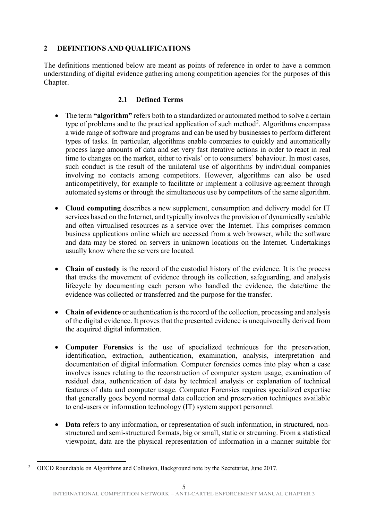# <span id="page-4-0"></span>**2 DEFINITIONS AND QUALIFICATIONS**

The definitions mentioned below are meant as points of reference in order to have a common understanding of digital evidence gathering among competition agencies for the purposes of this Chapter.

# **2.1 Defined Terms**

- <span id="page-4-1"></span>• The term "algorithm" refers both to a standardized or automated method to solve a certain type of problems and to the practical application of such method<sup>[2](#page-4-2)</sup>. Algorithms encompass a wide range of software and programs and can be used by businesses to perform different types of tasks. In particular, algorithms enable companies to quickly and automatically process large amounts of data and set very fast iterative actions in order to react in real time to changes on the market, either to rivals' or to consumers' behaviour. In most cases, such conduct is the result of the unilateral use of algorithms by individual companies involving no contacts among competitors. However, algorithms can also be used anticompetitively, for example to facilitate or implement a collusive agreement through automated systems or through the simultaneous use by competitors of the same algorithm.
- **Cloud computing** describes a new supplement, consumption and delivery model for IT services based on the Internet, and typically involves the provision of dynamically scalable and often virtualised resources as a service over the Internet. This comprises common business applications online which are accessed from a web browser, while the software and data may be stored on servers in unknown locations on the Internet. Undertakings usually know where the servers are located.
- **Chain of custody** is the record of the custodial history of the evidence. It is the process that tracks the movement of evidence through its collection, safeguarding, and analysis lifecycle by documenting each person who handled the evidence, the date/time the evidence was collected or transferred and the purpose for the transfer.
- **Chain of evidence** or authentication is the record of the collection, processing and analysis of the digital evidence. It proves that the presented evidence is unequivocally derived from the acquired digital information.
- **Computer Forensics** is the use of specialized techniques for the preservation, identification, extraction, authentication, examination, analysis, interpretation and documentation of digital information. Computer forensics comes into play when a case involves issues relating to the reconstruction of computer system usage, examination of residual data, authentication of data by technical analysis or explanation of technical features of data and computer usage. Computer Forensics requires specialized expertise that generally goes beyond normal data collection and preservation techniques available to end-users or information technology (IT) system support personnel.
- **Data** refers to any information, or representation of such information, in structured, nonstructured and semi-structured formats, big or small, static or streaming. From a statistical viewpoint, data are the physical representation of information in a manner suitable for

<span id="page-4-2"></span><sup>&</sup>lt;sup>2</sup> OECD Roundtable on Algorithms and Collusion, Background note by the Secretariat, June 2017.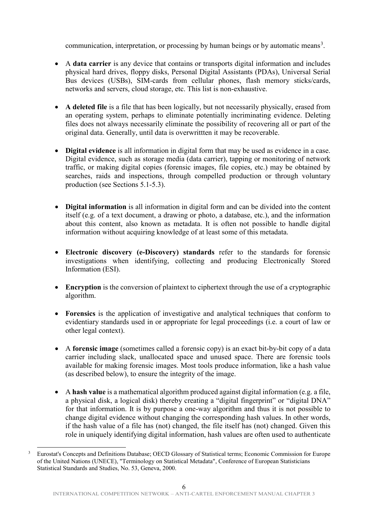communication, interpretation, or processing by human beings or by automatic means<sup>[3](#page-5-0)</sup>.

- A **data carrier** is any device that contains or transports digital information and includes physical hard drives, floppy disks, Personal Digital Assistants (PDAs), Universal Serial Bus devices (USBs), SIM-cards from cellular phones, flash memory sticks/cards, networks and servers, cloud storage, etc. This list is non-exhaustive.
- A deleted file is a file that has been logically, but not necessarily physically, erased from an operating system, perhaps to eliminate potentially incriminating evidence. Deleting files does not always necessarily eliminate the possibility of recovering all or part of the original data. Generally, until data is overwrittten it may be recoverable.
- **Digital evidence** is all information in digital form that may be used as evidence in a case. Digital evidence, such as storage media (data carrier), tapping or monitoring of network traffic, or making digital copies (forensic images, file copies, etc.) may be obtained by searches, raids and inspections, through compelled production or through voluntary production (see Sections 5.1-5.3).
- **Digital information** is all information in digital form and can be divided into the content itself (e.g. of a text document, a drawing or photo, a database, etc.), and the information about this content, also known as metadata. It is often not possible to handle digital information without acquiring knowledge of at least some of this metadata.
- **Electronic discovery (e-Discovery) standards** refer to the standards for forensic investigations when identifying, collecting and producing Electronically Stored Information (ESI).
- **Encryption** is the conversion of plaintext to ciphertext through the use of a cryptographic algorithm.
- **Forensics** is the application of investigative and analytical techniques that conform to evidentiary standards used in or appropriate for legal proceedings (i.e. a court of law or other legal context).
- A **forensic image** (sometimes called a forensic copy) is an exact bit-by-bit copy of a data carrier including slack, unallocated space and unused space. There are forensic tools available for making forensic images. Most tools produce information, like a hash value (as described below), to ensure the integrity of the image.
- A **hash value** is a mathematical algorithm produced against digital information (e.g. a file, a physical disk, a logical disk) thereby creating a "digital fingerprint" or "digital DNA" for that information. It is by purpose a one-way algorithm and thus it is not possible to change digital evidence without changing the corresponding hash values. In other words, if the hash value of a file has (not) changed, the file itself has (not) changed. Given this role in uniquely identifying digital information, hash values are often used to authenticate

<span id="page-5-0"></span> <sup>3</sup> Eurostat's Concepts and Definitions Database; OECD Glossary of Statistical terms; Economic Commission for Europe of the United Nations (UNECE), "Terminology on Statistical Metadata", Conference of European Statisticians Statistical Standards and Studies, No. 53, Geneva, 2000.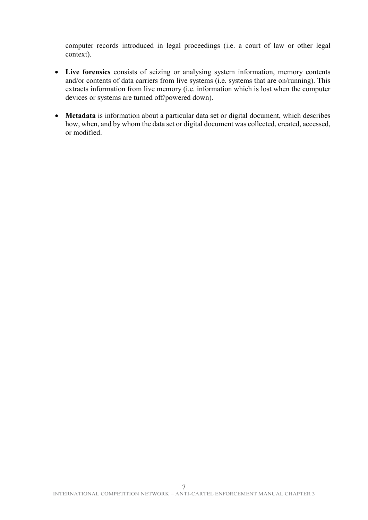computer records introduced in legal proceedings (i.e. a court of law or other legal context).

- **Live forensics** consists of seizing or analysing system information, memory contents and/or contents of data carriers from live systems (i.e. systems that are on/running). This extracts information from live memory (i.e. information which is lost when the computer devices or systems are turned off/powered down).
- **Metadata** is information about a particular data set or digital document, which describes how, when, and by whom the data set or digital document was collected, created, accessed, or modified.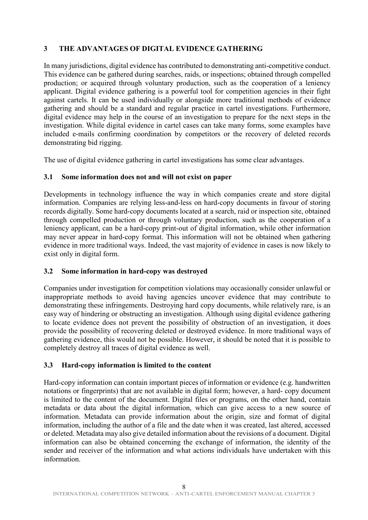# <span id="page-7-0"></span>**3 THE ADVANTAGES OF DIGITAL EVIDENCE GATHERING**

In many jurisdictions, digital evidence has contributed to demonstrating anti-competitive conduct. This evidence can be gathered during searches, raids, or inspections; obtained through compelled production; or acquired through voluntary production, such as the cooperation of a leniency applicant. Digital evidence gathering is a powerful tool for competition agencies in their fight against cartels. It can be used individually or alongside more traditional methods of evidence gathering and should be a standard and regular practice in cartel investigations. Furthermore, digital evidence may help in the course of an investigation to prepare for the next steps in the investigation. While digital evidence in cartel cases can take many forms, some examples have included e-mails confirming coordination by competitors or the recovery of deleted records demonstrating bid rigging.

The use of digital evidence gathering in cartel investigations has some clear advantages.

### <span id="page-7-1"></span>**3.1 Some information does not and will not exist on paper**

Developments in technology influence the way in which companies create and store digital information. Companies are relying less-and-less on hard-copy documents in favour of storing records digitally. Some hard-copy documents located at a search, raid or inspection site, obtained through compelled production or through voluntary production, such as the cooperation of a leniency applicant, can be a hard-copy print-out of digital information, while other information may never appear in hard-copy format. This information will not be obtained when gathering evidence in more traditional ways. Indeed, the vast majority of evidence in cases is now likely to exist only in digital form.

#### <span id="page-7-2"></span>**3.2 Some information in hard-copy was destroyed**

Companies under investigation for competition violations may occasionally consider unlawful or inappropriate methods to avoid having agencies uncover evidence that may contribute to demonstrating these infringements. Destroying hard copy documents, while relatively rare, is an easy way of hindering or obstructing an investigation. Although using digital evidence gathering to locate evidence does not prevent the possibility of obstruction of an investigation, it does provide the possibility of recovering deleted or destroyed evidence. In more traditional ways of gathering evidence, this would not be possible. However, it should be noted that it is possible to completely destroy all traces of digital evidence as well.

# <span id="page-7-3"></span>**3.3 Hard-copy information is limited to the content**

Hard-copy information can contain important pieces of information or evidence (e.g. handwritten notations or fingerprints) that are not available in digital form; however, a hard- copy document is limited to the content of the document. Digital files or programs, on the other hand, contain metadata or data about the digital information, which can give access to a new source of information. Metadata can provide information about the origin, size and format of digital information, including the author of a file and the date when it was created, last altered, accessed or deleted. Metadata may also give detailed information about the revisions of a document. Digital information can also be obtained concerning the exchange of information, the identity of the sender and receiver of the information and what actions individuals have undertaken with this information.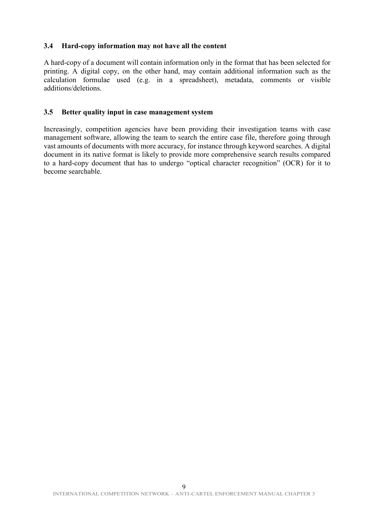### <span id="page-8-0"></span>**3.4 Hard-copy information may not have all the content**

A hard-copy of a document will contain information only in the format that has been selected for printing. A digital copy, on the other hand, may contain additional information such as the calculation formulae used (e.g. in a spreadsheet), metadata, comments or visible additions/deletions.

#### <span id="page-8-1"></span>**3.5 Better quality input in case management system**

Increasingly, competition agencies have been providing their investigation teams with case management software, allowing the team to search the entire case file, therefore going through vast amounts of documents with more accuracy, for instance through keyword searches. A digital document in its native format is likely to provide more comprehensive search results compared to a hard-copy document that has to undergo "optical character recognition" (OCR) for it to become searchable.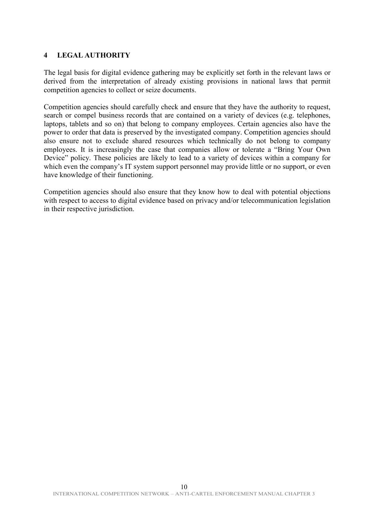### <span id="page-9-0"></span>**4 LEGAL AUTHORITY**

The legal basis for digital evidence gathering may be explicitly set forth in the relevant laws or derived from the interpretation of already existing provisions in national laws that permit competition agencies to collect or seize documents.

Competition agencies should carefully check and ensure that they have the authority to request, search or compel business records that are contained on a variety of devices (e.g. telephones, laptops, tablets and so on) that belong to company employees. Certain agencies also have the power to order that data is preserved by the investigated company. Competition agencies should also ensure not to exclude shared resources which technically do not belong to company employees. It is increasingly the case that companies allow or tolerate a "Bring Your Own Device" policy. These policies are likely to lead to a variety of devices within a company for which even the company's IT system support personnel may provide little or no support, or even have knowledge of their functioning.

Competition agencies should also ensure that they know how to deal with potential objections with respect to access to digital evidence based on privacy and/or telecommunication legislation in their respective jurisdiction.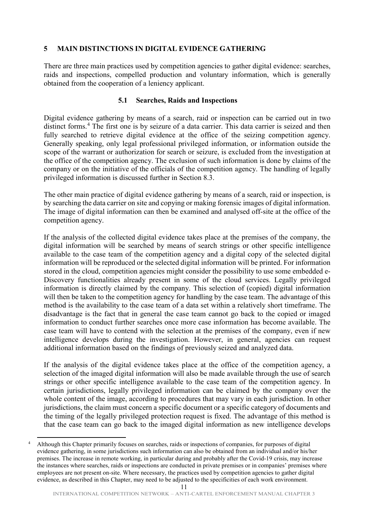### <span id="page-10-0"></span>**5 MAIN DISTINCTIONS IN DIGITAL EVIDENCE GATHERING**

There are three main practices used by competition agencies to gather digital evidence: searches, raids and inspections, compelled production and voluntary information, which is generally obtained from the cooperation of a leniency applicant.

#### **5.1 Searches, Raids and Inspections**

<span id="page-10-1"></span>Digital evidence gathering by means of a search, raid or inspection can be carried out in two distinct forms.<sup>[4](#page-10-2)</sup> The first one is by seizure of a data carrier. This data carrier is seized and then fully searched to retrieve digital evidence at the office of the seizing competition agency. Generally speaking, only legal professional privileged information, or information outside the scope of the warrant or authorization for search or seizure, is excluded from the investigation at the office of the competition agency. The exclusion of such information is done by claims of the company or on the initiative of the officials of the competition agency. The handling of legally privileged information is discussed further in Section 8.3.

The other main practice of digital evidence gathering by means of a search, raid or inspection, is by searching the data carrier on site and copying or making forensic images of digital information. The image of digital information can then be examined and analysed off-site at the office of the competition agency.

If the analysis of the collected digital evidence takes place at the premises of the company, the digital information will be searched by means of search strings or other specific intelligence available to the case team of the competition agency and a digital copy of the selected digital information will be reproduced or the selected digital information will be printed. For information stored in the cloud, competition agencies might consider the possibility to use some embedded e-Discovery functionalities already present in some of the cloud services. Legally privileged information is directly claimed by the company. This selection of (copied) digital information will then be taken to the competition agency for handling by the case team. The advantage of this method is the availability to the case team of a data set within a relatively short timeframe. The disadvantage is the fact that in general the case team cannot go back to the copied or imaged information to conduct further searches once more case information has become available. The case team will have to contend with the selection at the premises of the company, even if new intelligence develops during the investigation. However, in general, agencies can request additional information based on the findings of previously seized and analyzed data.

If the analysis of the digital evidence takes place at the office of the competition agency, a selection of the imaged digital information will also be made available through the use of search strings or other specific intelligence available to the case team of the competition agency. In certain jurisdictions, legally privileged information can be claimed by the company over the whole content of the image, according to procedures that may vary in each jurisdiction. In other jurisdictions, the claim must concern a specific document or a specific category of documents and the timing of the legally privileged protection request is fixed. The advantage of this method is that the case team can go back to the imaged digital information as new intelligence develops

<span id="page-10-2"></span><sup>&</sup>lt;sup>4</sup> Although this Chapter primarily focuses on searches, raids or inspections of companies, for purposes of digital evidence gathering, in some jurisdictions such information can also be obtained from an individual and/or his/her premises. The increase in remote working, in particular during and probably after the Covid-19 crisis, may increase the instances where searches, raids or inspections are conducted in private premises or in companies' premises where employees are not present on-site. Where necessary, the practices used by competition agencies to gather digital evidence, as described in this Chapter, may need to be adjusted to the specificities of each work environment.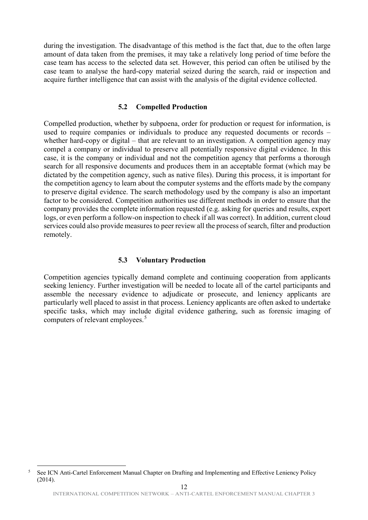during the investigation. The disadvantage of this method is the fact that, due to the often large amount of data taken from the premises, it may take a relatively long period of time before the case team has access to the selected data set. However, this period can often be utilised by the case team to analyse the hard-copy material seized during the search, raid or inspection and acquire further intelligence that can assist with the analysis of the digital evidence collected.

#### **5.2 Compelled Production**

<span id="page-11-0"></span>Compelled production, whether by subpoena, order for production or request for information, is used to require companies or individuals to produce any requested documents or records – whether hard-copy or digital – that are relevant to an investigation. A competition agency may compel a company or individual to preserve all potentially responsive digital evidence. In this case, it is the company or individual and not the competition agency that performs a thorough search for all responsive documents and produces them in an acceptable format (which may be dictated by the competition agency, such as native files). During this process, it is important for the competition agency to learn about the computer systems and the efforts made by the company to preserve digital evidence. The search methodology used by the company is also an important factor to be considered. Competition authorities use different methods in order to ensure that the company provides the complete information requested (e.g. asking for queries and results, export logs, or even perform a follow-on inspection to check if all was correct). In addition, current cloud services could also provide measures to peer review all the process of search, filter and production remotely.

#### **5.3 Voluntary Production**

<span id="page-11-1"></span>Competition agencies typically demand complete and continuing cooperation from applicants seeking leniency. Further investigation will be needed to locate all of the cartel participants and assemble the necessary evidence to adjudicate or prosecute, and leniency applicants are particularly well placed to assist in that process. Leniency applicants are often asked to undertake specific tasks, which may include digital evidence gathering, such as forensic imaging of computers of relevant employees.<sup>[5](#page-11-2)</sup>

<span id="page-11-2"></span><sup>&</sup>lt;sup>5</sup> See ICN Anti-Cartel Enforcement Manual Chapter on Drafting and Implementing and Effective Leniency Policy (2014).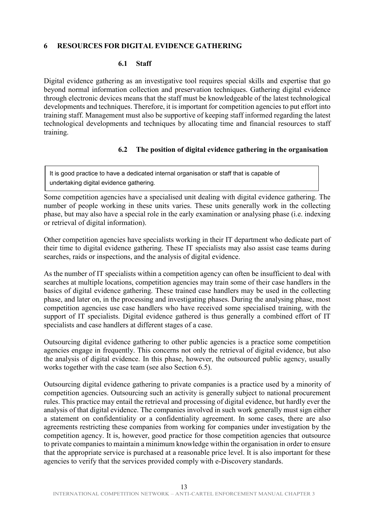#### <span id="page-12-0"></span>**6 RESOURCES FOR DIGITAL EVIDENCE GATHERING**

#### **6.1 Staff**

<span id="page-12-1"></span>Digital evidence gathering as an investigative tool requires special skills and expertise that go beyond normal information collection and preservation techniques. Gathering digital evidence through electronic devices means that the staff must be knowledgeable of the latest technological developments and techniques. Therefore, it is important for competition agencies to put effort into training staff. Management must also be supportive of keeping staff informed regarding the latest technological developments and techniques by allocating time and financial resources to staff training.

### **6.2 The position of digital evidence gathering in the organisation**

<span id="page-12-2"></span>It is good practice to have a dedicated internal organisation or staff that is capable of undertaking digital evidence gathering.

Some competition agencies have a specialised unit dealing with digital evidence gathering. The number of people working in these units varies. These units generally work in the collecting phase, but may also have a special role in the early examination or analysing phase (i.e. indexing or retrieval of digital information).

Other competition agencies have specialists working in their IT department who dedicate part of their time to digital evidence gathering. These IT specialists may also assist case teams during searches, raids or inspections, and the analysis of digital evidence.

As the number of IT specialists within a competition agency can often be insufficient to deal with searches at multiple locations, competition agencies may train some of their case handlers in the basics of digital evidence gathering. These trained case handlers may be used in the collecting phase, and later on, in the processing and investigating phases. During the analysing phase, most competition agencies use case handlers who have received some specialised training, with the support of IT specialists. Digital evidence gathered is thus generally a combined effort of IT specialists and case handlers at different stages of a case.

Outsourcing digital evidence gathering to other public agencies is a practice some competition agencies engage in frequently. This concerns not only the retrieval of digital evidence, but also the analysis of digital evidence. In this phase, however, the outsourced public agency, usually works together with the case team (see also Section 6.5).

Outsourcing digital evidence gathering to private companies is a practice used by a minority of competition agencies. Outsourcing such an activity is generally subject to national procurement rules. This practice may entail the retrieval and processing of digital evidence, but hardly ever the analysis of that digital evidence. The companies involved in such work generally must sign either a statement on confidentiality or a confidentiality agreement. In some cases, there are also agreements restricting these companies from working for companies under investigation by the competition agency. It is, however, good practice for those competition agencies that outsource to private companies to maintain a minimum knowledge within the organisation in order to ensure that the appropriate service is purchased at a reasonable price level. It is also important for these agencies to verify that the services provided comply with e-Discovery standards.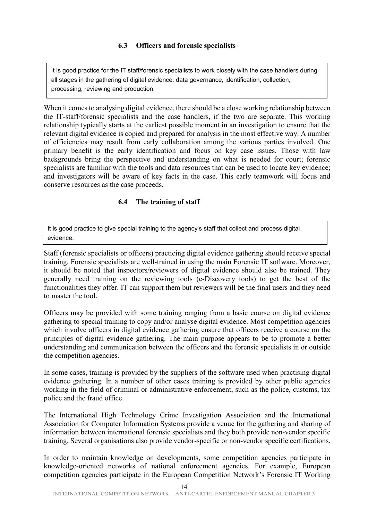# **6.3 Officers and forensic specialists**

<span id="page-13-0"></span>It is good practice for the IT staff/forensic specialists to work closely with the case handlers during all stages in the gathering of digital evidence: data governance, identification, collection, processing, reviewing and production.

When it comes to analysing digital evidence, there should be a close working relationship between the IT-staff/forensic specialists and the case handlers, if the two are separate. This working relationship typically starts at the earliest possible moment in an investigation to ensure that the relevant digital evidence is copied and prepared for analysis in the most effective way. A number of efficiencies may result from early collaboration among the various parties involved. One primary benefit is the early identification and focus on key case issues. Those with law backgrounds bring the perspective and understanding on what is needed for court; forensic specialists are familiar with the tools and data resources that can be used to locate key evidence; and investigators will be aware of key facts in the case. This early teamwork will focus and conserve resources as the case proceeds.

# **6.4 The training of staff**

<span id="page-13-1"></span>It is good practice to give special training to the agency's staff that collect and process digital evidence.

Staff (forensic specialists or officers) practicing digital evidence gathering should receive special training. Forensic specialists are well-trained in using the main Forensic IT software. Moreover, it should be noted that inspectors/reviewers of digital evidence should also be trained. They generally need training on the reviewing tools (e-Discovery tools) to get the best of the functionalities they offer. IT can support them but reviewers will be the final users and they need to master the tool.

Officers may be provided with some training ranging from a basic course on digital evidence gathering to special training to copy and/or analyse digital evidence. Most competition agencies which involve officers in digital evidence gathering ensure that officers receive a course on the principles of digital evidence gathering. The main purpose appears to be to promote a better understanding and communication between the officers and the forensic specialists in or outside the competition agencies.

In some cases, training is provided by the suppliers of the software used when practising digital evidence gathering. In a number of other cases training is provided by other public agencies working in the field of criminal or administrative enforcement, such as the police, customs, tax police and the fraud office.

The International High Technology Crime Investigation Association and the International Association for Computer Information Systems provide a venue for the gathering and sharing of information between international forensic specialists and they both provide non-vendor specific training. Several organisations also provide vendor-specific or non-vendor specific certifications.

In order to maintain knowledge on developments, some competition agencies participate in knowledge-oriented networks of national enforcement agencies. For example, European competition agencies participate in the European Competition Network's Forensic IT Working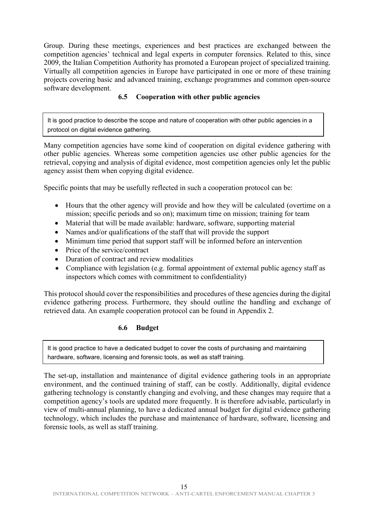Group. During these meetings, experiences and best practices are exchanged between the competition agencies' technical and legal experts in computer forensics. Related to this, since 2009, the Italian Competition Authority has promoted a European project of specialized training. Virtually all competition agencies in Europe have participated in one or more of these training projects covering basic and advanced training, exchange programmes and common open-source software development.

# **6.5 Cooperation with other public agencies**

<span id="page-14-0"></span>It is good practice to describe the scope and nature of cooperation with other public agencies in a protocol on digital evidence gathering.

Many competition agencies have some kind of cooperation on digital evidence gathering with other public agencies. Whereas some competition agencies use other public agencies for the retrieval, copying and analysis of digital evidence, most competition agencies only let the public agency assist them when copying digital evidence.

Specific points that may be usefully reflected in such a cooperation protocol can be:

- Hours that the other agency will provide and how they will be calculated (overtime on a mission; specific periods and so on); maximum time on mission; training for team
- Material that will be made available: hardware, software, supporting material
- Names and/or qualifications of the staff that will provide the support
- Minimum time period that support staff will be informed before an intervention
- Price of the service/contract
- Duration of contract and review modalities
- Compliance with legislation (e.g. formal appointment of external public agency staff as inspectors which comes with commitment to confidentiality)

This protocol should cover the responsibilities and procedures of these agencies during the digital evidence gathering process. Furthermore, they should outline the handling and exchange of retrieved data. An example cooperation protocol can be found in Appendix 2.

#### **6.6 Budget**

<span id="page-14-1"></span>It is good practice to have a dedicated budget to cover the costs of purchasing and maintaining hardware, software, licensing and forensic tools, as well as staff training.

The set-up, installation and maintenance of digital evidence gathering tools in an appropriate environment, and the continued training of staff, can be costly. Additionally, digital evidence gathering technology is constantly changing and evolving, and these changes may require that a competition agency's tools are updated more frequently. It is therefore advisable, particularly in view of multi-annual planning, to have a dedicated annual budget for digital evidence gathering technology, which includes the purchase and maintenance of hardware, software, licensing and forensic tools, as well as staff training.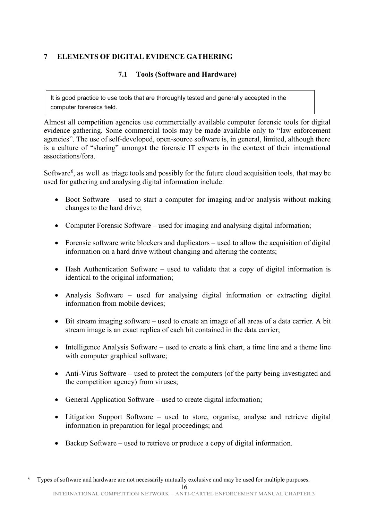# <span id="page-15-1"></span><span id="page-15-0"></span>**7 ELEMENTS OF DIGITAL EVIDENCE GATHERING**

# **7.1 Tools (Software and Hardware)**

It is good practice to use tools that are thoroughly tested and generally accepted in the computer forensics field.

Almost all competition agencies use commercially available computer forensic tools for digital evidence gathering. Some commercial tools may be made available only to "law enforcement agencies". The use of self-developed, open-source software is, in general, limited, although there is a culture of "sharing" amongst the forensic IT experts in the context of their international associations/fora.

Software<sup>[6](#page-15-2)</sup>, as well as triage tools and possibly for the future cloud acquisition tools, that may be used for gathering and analysing digital information include:

- Boot Software used to start a computer for imaging and/or analysis without making changes to the hard drive;
- Computer Forensic Software used for imaging and analysing digital information;
- Forensic software write blockers and duplicators used to allow the acquisition of digital information on a hard drive without changing and altering the contents;
- Hash Authentication Software used to validate that a copy of digital information is identical to the original information;
- Analysis Software used for analysing digital information or extracting digital information from mobile devices;
- Bit stream imaging software used to create an image of all areas of a data carrier. A bit stream image is an exact replica of each bit contained in the data carrier;
- Intelligence Analysis Software used to create a link chart, a time line and a theme line with computer graphical software;
- Anti-Virus Software used to protect the computers (of the party being investigated and the competition agency) from viruses;
- General Application Software used to create digital information;
- Litigation Support Software used to store, organise, analyse and retrieve digital information in preparation for legal proceedings; and
- Backup Software used to retrieve or produce a copy of digital information.

<span id="page-15-2"></span><sup>16</sup> INTERNATIONAL COMPETITION NETWORK – ANTI-CARTEL ENFORCEMENT MANUAL CHAPTER 3 6 Types of software and hardware are not necessarily mutually exclusive and may be used for multiple purposes.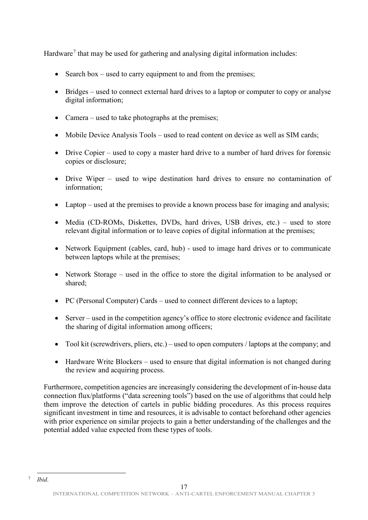Hardware<sup>[7](#page-16-0)</sup> that may be used for gathering and analysing digital information includes:

- Search box used to carry equipment to and from the premises;
- Bridges used to connect external hard drives to a laptop or computer to copy or analyse digital information;
- Camera used to take photographs at the premises;
- Mobile Device Analysis Tools used to read content on device as well as SIM cards;
- Drive Copier used to copy a master hard drive to a number of hard drives for forensic copies or disclosure;
- Drive Wiper used to wipe destination hard drives to ensure no contamination of information;
- Laptop used at the premises to provide a known process base for imaging and analysis;
- Media (CD-ROMs, Diskettes, DVDs, hard drives, USB drives, etc.) used to store relevant digital information or to leave copies of digital information at the premises;
- Network Equipment (cables, card, hub) used to image hard drives or to communicate between laptops while at the premises;
- Network Storage used in the office to store the digital information to be analysed or shared;
- PC (Personal Computer) Cards used to connect different devices to a laptop;
- Server used in the competition agency's office to store electronic evidence and facilitate the sharing of digital information among officers;
- Tool kit (screwdrivers, pliers, etc.) used to open computers / laptops at the company; and
- Hardware Write Blockers used to ensure that digital information is not changed during the review and acquiring process.

Furthermore, competition agencies are increasingly considering the development of in-house data connection flux/platforms ("data screening tools") based on the use of algorithms that could help them improve the detection of cartels in public bidding procedures. As this process requires significant investment in time and resources, it is advisable to contact beforehand other agencies with prior experience on similar projects to gain a better understanding of the challenges and the potential added value expected from these types of tools.

<span id="page-16-0"></span><sup>17</sup> INTERNATIONAL COMPETITION NETWORK – ANTI-CARTEL ENFORCEMENT MANUAL CHAPTER 3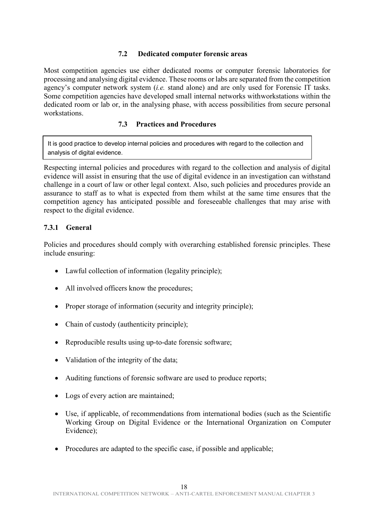### **7.2 Dedicated computer forensic areas**

<span id="page-17-0"></span>Most competition agencies use either dedicated rooms or computer forensic laboratories for processing and analysing digital evidence. These rooms or labs are separated from the competition agency's computer network system (*i.e.* stand alone) and are only used for Forensic IT tasks. Some competition agencies have developed small internal networks withworkstations within the dedicated room or lab or, in the analysing phase, with access possibilities from secure personal workstations.

#### **7.3 Practices and Procedures**

<span id="page-17-1"></span>It is good practice to develop internal policies and procedures with regard to the collection and analysis of digital evidence.

Respecting internal policies and procedures with regard to the collection and analysis of digital evidence will assist in ensuring that the use of digital evidence in an investigation can withstand challenge in a court of law or other legal context. Also, such policies and procedures provide an assurance to staff as to what is expected from them whilst at the same time ensures that the competition agency has anticipated possible and foreseeable challenges that may arise with respect to the digital evidence.

### <span id="page-17-2"></span>**7.3.1 General**

Policies and procedures should comply with overarching established forensic principles. These include ensuring:

- Lawful collection of information (legality principle);
- All involved officers know the procedures;
- Proper storage of information (security and integrity principle);
- Chain of custody (authenticity principle);
- Reproducible results using up-to-date forensic software;
- Validation of the integrity of the data;
- Auditing functions of forensic software are used to produce reports;
- Logs of every action are maintained;
- Use, if applicable, of recommendations from international bodies (such as the Scientific Working Group on Digital Evidence or the International Organization on Computer Evidence);
- Procedures are adapted to the specific case, if possible and applicable;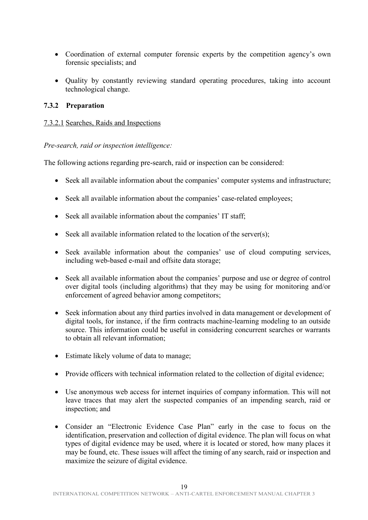- Coordination of external computer forensic experts by the competition agency's own forensic specialists; and
- Quality by constantly reviewing standard operating procedures, taking into account technological change.

#### <span id="page-18-0"></span>**7.3.2 Preparation**

### 7.3.2.1 Searches, Raids and Inspections

*Pre-search, raid or inspection intelligence:*

The following actions regarding pre-search, raid or inspection can be considered:

- Seek all available information about the companies' computer systems and infrastructure;
- Seek all available information about the companies' case-related employees;
- Seek all available information about the companies' IT staff;
- Seek all available information related to the location of the server(s);
- Seek available information about the companies' use of cloud computing services, including web-based e-mail and offsite data storage;
- Seek all available information about the companies' purpose and use or degree of control over digital tools (including algorithms) that they may be using for monitoring and/or enforcement of agreed behavior among competitors;
- Seek information about any third parties involved in data management or development of digital tools, for instance, if the firm contracts machine-learning modeling to an outside source. This information could be useful in considering concurrent searches or warrants to obtain all relevant information;
- Estimate likely volume of data to manage;
- Provide officers with technical information related to the collection of digital evidence;
- Use anonymous web access for internet inquiries of company information. This will not leave traces that may alert the suspected companies of an impending search, raid or inspection; and
- Consider an "Electronic Evidence Case Plan" early in the case to focus on the identification, preservation and collection of digital evidence. The plan will focus on what types of digital evidence may be used, where it is located or stored, how many places it may be found, etc. These issues will affect the timing of any search, raid or inspection and maximize the seizure of digital evidence.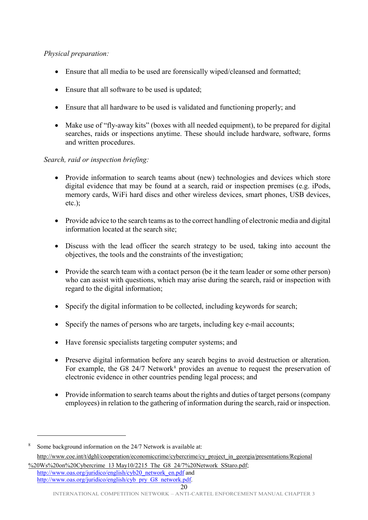# *Physical preparation:*

- Ensure that all media to be used are forensically wiped/cleansed and formatted;
- Ensure that all software to be used is updated;
- Ensure that all hardware to be used is validated and functioning properly; and
- Make use of "fly-away kits" (boxes with all needed equipment), to be prepared for digital searches, raids or inspections anytime. These should include hardware, software, forms and written procedures.

### *Search, raid or inspection briefing:*

- Provide information to search teams about (new) technologies and devices which store digital evidence that may be found at a search, raid or inspection premises (e.g. iPods, memory cards, WiFi hard discs and other wireless devices, smart phones, USB devices, etc.);
- Provide advice to the search teams as to the correct handling of electronic media and digital information located at the search site;
- Discuss with the lead officer the search strategy to be used, taking into account the objectives, the tools and the constraints of the investigation;
- Provide the search team with a contact person (be it the team leader or some other person) who can assist with questions, which may arise during the search, raid or inspection with regard to the digital information;
- Specify the digital information to be collected, including keywords for search;
- Specify the names of persons who are targets, including key e-mail accounts;
- Have forensic specialists targeting computer systems; and
- Preserve digital information before any search begins to avoid destruction or alteration. For example, the G[8](#page-19-0) 24/7 Network<sup>8</sup> provides an avenue to request the preservation of electronic evidence in other countries pending legal process; and
- Provide information to search teams about the rights and duties of target persons (company employees) in relation to the gathering of information during the search, raid or inspection.

<u>.</u>

<span id="page-19-0"></span><sup>8</sup> Some background information on the 24/7 Network is available at: [http://www.coe.int/t/dghl/cooperation/economiccrime/cybercrime/cy\\_project\\_in\\_georgia/presentations/Regional](http://www.coe.int/t/dghl/cooperation/economiccrime/cybercrime/cy_project_in_georgia/presentations/Regional%20Ws%20on%20Cybercrime_13%20May10/2215_The_G8_24/7%20Network_SStaro.pdf)

[<sup>%20</sup>Ws%20on%20Cybercrime\\_13 May10/2215\\_The\\_G8\\_24/7%20Network\\_SStaro.pdf;](http://www.coe.int/t/dghl/cooperation/economiccrime/cybercrime/cy_project_in_georgia/presentations/Regional%20Ws%20on%20Cybercrime_13%20May10/2215_The_G8_24/7%20Network_SStaro.pdf) [http://www.oas.org/juridico/english/cyb20\\_network\\_en.pdf](http://www.oas.org/juridico/english/cyb20_network_en.pdf) and [http://www.oas.org/juridico/english/cyb\\_pry\\_G8\\_network.pdf.](http://www.oas.org/juridico/english/cyb_pry_G8_network.pdf)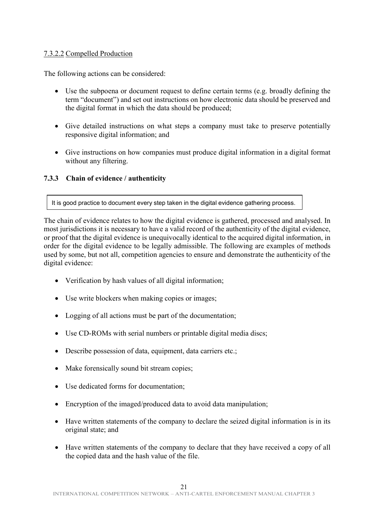# 7.3.2.2 Compelled Production

The following actions can be considered:

- Use the subpoena or document request to define certain terms (e.g. broadly defining the term "document") and set out instructions on how electronic data should be preserved and the digital format in which the data should be produced;
- Give detailed instructions on what steps a company must take to preserve potentially responsive digital information; and
- Give instructions on how companies must produce digital information in a digital format without any filtering.

#### <span id="page-20-0"></span>**7.3.3 Chain of evidence / authenticity**

It is good practice to document every step taken in the digital evidence gathering process.

The chain of evidence relates to how the digital evidence is gathered, processed and analysed. In most jurisdictions it is necessary to have a valid record of the authenticity of the digital evidence, or proof that the digital evidence is unequivocally identical to the acquired digital information, in order for the digital evidence to be legally admissible. The following are examples of methods used by some, but not all, competition agencies to ensure and demonstrate the authenticity of the digital evidence:

- Verification by hash values of all digital information;
- Use write blockers when making copies or images;
- Logging of all actions must be part of the documentation;
- Use CD-ROMs with serial numbers or printable digital media discs;
- Describe possession of data, equipment, data carriers etc.;
- Make forensically sound bit stream copies;
- Use dedicated forms for documentation;
- Encryption of the imaged/produced data to avoid data manipulation;
- Have written statements of the company to declare the seized digital information is in its original state; and
- Have written statements of the company to declare that they have received a copy of all the copied data and the hash value of the file.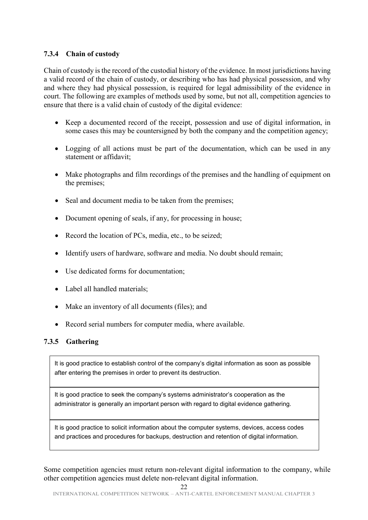# <span id="page-21-0"></span>**7.3.4 Chain of custody**

Chain of custody is the record of the custodial history of the evidence. In most jurisdictions having a valid record of the chain of custody, or describing who has had physical possession, and why and where they had physical possession, is required for legal admissibility of the evidence in court. The following are examples of methods used by some, but not all, competition agencies to ensure that there is a valid chain of custody of the digital evidence:

- Keep a documented record of the receipt, possession and use of digital information, in some cases this may be countersigned by both the company and the competition agency;
- Logging of all actions must be part of the documentation, which can be used in any statement or affidavit;
- Make photographs and film recordings of the premises and the handling of equipment on the premises;
- Seal and document media to be taken from the premises;
- Document opening of seals, if any, for processing in house;
- Record the location of PCs, media, etc., to be seized;
- Identify users of hardware, software and media. No doubt should remain;
- Use dedicated forms for documentation;
- Label all handled materials:
- Make an inventory of all documents (files); and
- Record serial numbers for computer media, where available.

# <span id="page-21-1"></span>**7.3.5 Gathering**

It is good practice to establish control of the company's digital information as soon as possible after entering the premises in order to prevent its destruction.

It is good practice to seek the company's systems administrator's cooperation as the administrator is generally an important person with regard to digital evidence gathering.

It is good practice to solicit information about the computer systems, devices, access codes and practices and procedures for backups, destruction and retention of digital information.

Some competition agencies must return non-relevant digital information to the company, while other competition agencies must delete non-relevant digital information.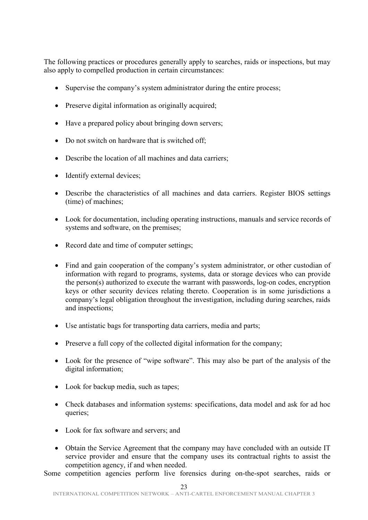The following practices or procedures generally apply to searches, raids or inspections, but may also apply to compelled production in certain circumstances:

- Supervise the company's system administrator during the entire process;
- Preserve digital information as originally acquired;
- Have a prepared policy about bringing down servers;
- Do not switch on hardware that is switched off;
- Describe the location of all machines and data carriers:
- Identify external devices;
- Describe the characteristics of all machines and data carriers. Register BIOS settings (time) of machines;
- Look for documentation, including operating instructions, manuals and service records of systems and software, on the premises;
- Record date and time of computer settings;
- Find and gain cooperation of the company's system administrator, or other custodian of information with regard to programs, systems, data or storage devices who can provide the person(s) authorized to execute the warrant with passwords, log-on codes, encryption keys or other security devices relating thereto. Cooperation is in some jurisdictions a company's legal obligation throughout the investigation, including during searches, raids and inspections;
- Use antistatic bags for transporting data carriers, media and parts;
- Preserve a full copy of the collected digital information for the company;
- Look for the presence of "wipe software". This may also be part of the analysis of the digital information;
- Look for backup media, such as tapes;
- Check databases and information systems: specifications, data model and ask for ad hoc queries;
- Look for fax software and servers; and
- Obtain the Service Agreement that the company may have concluded with an outside IT service provider and ensure that the company uses its contractual rights to assist the competition agency, if and when needed.

Some competition agencies perform live forensics during on-the-spot searches, raids or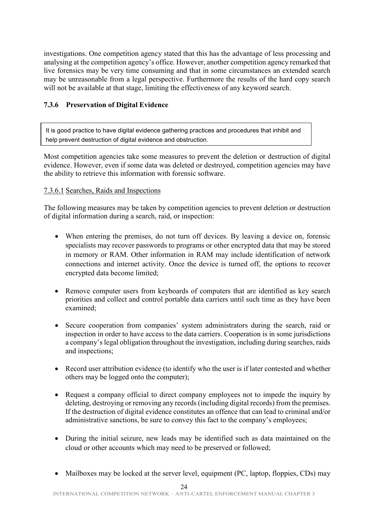investigations. One competition agency stated that this has the advantage of less processing and analysing at the competition agency's office. However, another competition agency remarked that live forensics may be very time consuming and that in some circumstances an extended search may be unreasonable from a legal perspective. Furthermore the results of the hard copy search will not be available at that stage, limiting the effectiveness of any keyword search.

# <span id="page-23-0"></span>**7.3.6 Preservation of Digital Evidence**

It is good practice to have digital evidence gathering practices and procedures that inhibit and help prevent destruction of digital evidence and obstruction.

Most competition agencies take some measures to prevent the deletion or destruction of digital evidence. However, even if some data was deleted or destroyed, competition agencies may have the ability to retrieve this information with forensic software.

# 7.3.6.1 Searches, Raids and Inspections

The following measures may be taken by competition agencies to prevent deletion or destruction of digital information during a search, raid, or inspection:

- When entering the premises, do not turn off devices. By leaving a device on, forensic specialists may recover passwords to programs or other encrypted data that may be stored in memory or RAM. Other information in RAM may include identification of network connections and internet activity. Once the device is turned off, the options to recover encrypted data become limited;
- Remove computer users from keyboards of computers that are identified as key search priorities and collect and control portable data carriers until such time as they have been examined;
- Secure cooperation from companies' system administrators during the search, raid or inspection in order to have access to the data carriers. Cooperation is in some jurisdictions a company's legal obligation throughout the investigation, including during searches, raids and inspections;
- Record user attribution evidence (to identify who the user is if later contested and whether others may be logged onto the computer);
- Request a company official to direct company employees not to impede the inquiry by deleting, destroying or removing any records (including digital records) from the premises. If the destruction of digital evidence constitutes an offence that can lead to criminal and/or administrative sanctions, be sure to convey this fact to the company's employees;
- During the initial seizure, new leads may be identified such as data maintained on the cloud or other accounts which may need to be preserved or followed;
- Mailboxes may be locked at the server level, equipment (PC, laptop, floppies, CDs) may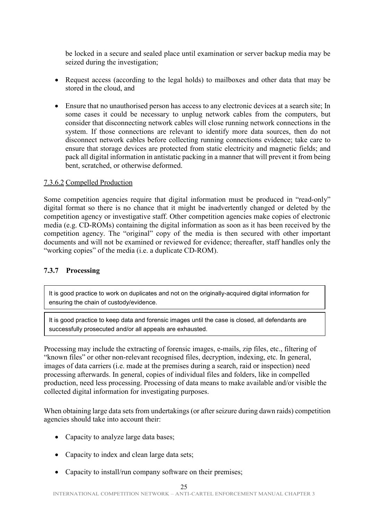be locked in a secure and sealed place until examination or server backup media may be seized during the investigation;

- Request access (according to the legal holds) to mailboxes and other data that may be stored in the cloud, and
- Ensure that no unauthorised person has access to any electronic devices at a search site; In some cases it could be necessary to unplug network cables from the computers, but consider that disconnecting network cables will close running network connections in the system. If those connections are relevant to identify more data sources, then do not disconnect network cables before collecting running connections evidence; take care to ensure that storage devices are protected from static electricity and magnetic fields; and pack all digital information in antistatic packing in a manner that will prevent it from being bent, scratched, or otherwise deformed.

### 7.3.6.2 Compelled Production

Some competition agencies require that digital information must be produced in "read-only" digital format so there is no chance that it might be inadvertently changed or deleted by the competition agency or investigative staff. Other competition agencies make copies of electronic media (e.g. CD-ROMs) containing the digital information as soon as it has been received by the competition agency. The "original" copy of the media is then secured with other important documents and will not be examined or reviewed for evidence; thereafter, staff handles only the "working copies" of the media (i.e. a duplicate CD-ROM).

#### <span id="page-24-0"></span>**7.3.7 Processing**

It is good practice to work on duplicates and not on the originally-acquired digital information for ensuring the chain of custody/evidence.

It is good practice to keep data and forensic images until the case is closed, all defendants are successfully prosecuted and/or all appeals are exhausted.

Processing may include the extracting of forensic images, e-mails, zip files, etc., filtering of "known files" or other non-relevant recognised files, decryption, indexing, etc. In general, images of data carriers (i.e. made at the premises during a search, raid or inspection) need processing afterwards. In general, copies of individual files and folders, like in compelled production, need less processing. Processing of data means to make available and/or visible the collected digital information for investigating purposes.

When obtaining large data sets from undertakings (or after seizure during dawn raids) competition agencies should take into account their:

- Capacity to analyze large data bases;
- Capacity to index and clean large data sets;
- Capacity to install/run company software on their premises;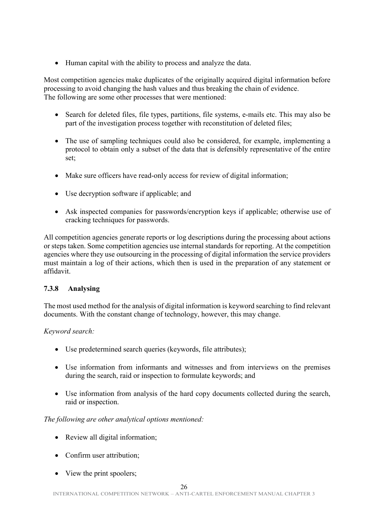• Human capital with the ability to process and analyze the data.

Most competition agencies make duplicates of the originally acquired digital information before processing to avoid changing the hash values and thus breaking the chain of evidence. The following are some other processes that were mentioned:

- Search for deleted files, file types, partitions, file systems, e-mails etc. This may also be part of the investigation process together with reconstitution of deleted files;
- The use of sampling techniques could also be considered, for example, implementing a protocol to obtain only a subset of the data that is defensibly representative of the entire set;
- Make sure officers have read-only access for review of digital information;
- Use decryption software if applicable; and
- Ask inspected companies for passwords/encryption keys if applicable; otherwise use of cracking techniques for passwords.

All competition agencies generate reports or log descriptions during the processing about actions or steps taken. Some competition agencies use internal standards for reporting. At the competition agencies where they use outsourcing in the processing of digital information the service providers must maintain a log of their actions, which then is used in the preparation of any statement or affidavit.

# <span id="page-25-0"></span>**7.3.8 Analysing**

The most used method for the analysis of digital information is keyword searching to find relevant documents. With the constant change of technology, however, this may change.

# *Keyword search:*

- Use predetermined search queries (keywords, file attributes);
- Use information from informants and witnesses and from interviews on the premises during the search, raid or inspection to formulate keywords; and
- Use information from analysis of the hard copy documents collected during the search, raid or inspection.

# *The following are other analytical options mentioned:*

- Review all digital information;
- Confirm user attribution;
- View the print spoolers;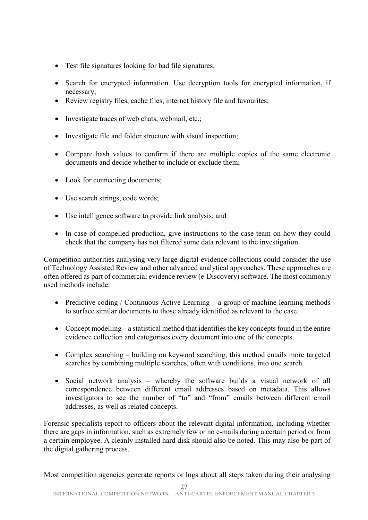- Test file signatures looking for bad file signatures;
- Search for encrypted information. Use decryption tools for encrypted information, if necessary;
- Review registry files, cache files, internet history file and favourites;
- Investigate traces of web chats, webmail, etc.;
- Investigate file and folder structure with visual inspection;
- Compare hash values to confirm if there are multiple copies of the same electronic documents and decide whether to include or exclude them;
- Look for connecting documents;
- Use search strings, code words;
- Use intelligence software to provide link analysis; and
- In case of compelled production, give instructions to the case team on how they could check that the company has not filtered some data relevant to the investigation.

Competition authorities analysing very large digital evidence collections could consider the use of Technology Assisted Review and other advanced analytical approaches. These approaches are often offered as part of commercial evidence review (e-Discovery) software. The most commonly used methods include:

- Predictive coding / Continuous Active Learning a group of machine learning methods to surface similar documents to those already identified as relevant to the case.
- Concept modelling a statistical method that identifies the key concepts found in the entire evidence collection and categorises every document into one of the concepts.
- Complex searching building on keyword searching, this method entails more targeted searches by combining multiple searches, often with conditions, into one search.
- Social network analysis whereby the software builds a visual network of all correspondence between different email addresses based on metadata. This allows investigators to see the number of "to" and "from" emails between different email addresses, as well as related concepts.

Forensic specialists report to officers about the relevant digital information, including whether there are gaps in information, such as extremely few or no e-mails during a certain period or from a certain employee. A cleanly installed hard disk should also be noted. This may also be part of the digital gathering process.

Most competition agencies generate reports or logs about all steps taken during their analysing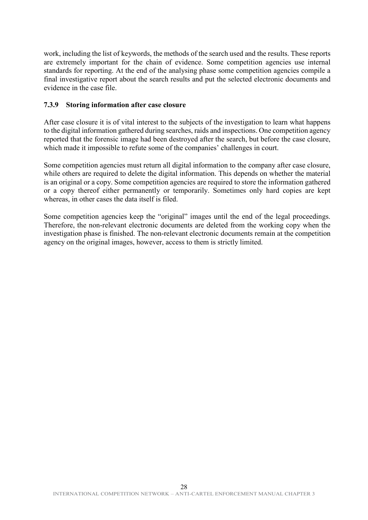work, including the list of keywords, the methods of the search used and the results. These reports are extremely important for the chain of evidence. Some competition agencies use internal standards for reporting. At the end of the analysing phase some competition agencies compile a final investigative report about the search results and put the selected electronic documents and evidence in the case file.

### <span id="page-27-0"></span>**7.3.9 Storing information after case closure**

After case closure it is of vital interest to the subjects of the investigation to learn what happens to the digital information gathered during searches, raids and inspections. One competition agency reported that the forensic image had been destroyed after the search, but before the case closure, which made it impossible to refute some of the companies' challenges in court.

Some competition agencies must return all digital information to the company after case closure, while others are required to delete the digital information. This depends on whether the material is an original or a copy. Some competition agencies are required to store the information gathered or a copy thereof either permanently or temporarily. Sometimes only hard copies are kept whereas, in other cases the data itself is filed.

Some competition agencies keep the "original" images until the end of the legal proceedings. Therefore, the non-relevant electronic documents are deleted from the working copy when the investigation phase is finished. The non-relevant electronic documents remain at the competition agency on the original images, however, access to them is strictly limited.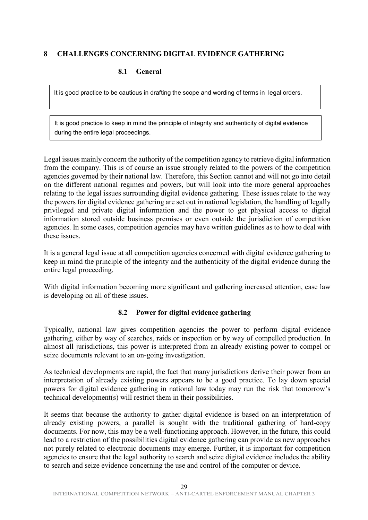# <span id="page-28-1"></span><span id="page-28-0"></span>**8 CHALLENGES CONCERNING DIGITAL EVIDENCE GATHERING**

#### **8.1 General**

It is good practice to be cautious in drafting the scope and wording of terms in legal orders.

It is good practice to keep in mind the principle of integrity and authenticity of digital evidence during the entire legal proceedings.

Legal issues mainly concern the authority of the competition agency to retrieve digital information from the company. This is of course an issue strongly related to the powers of the competition agencies governed by their national law. Therefore, this Section cannot and will not go into detail on the different national regimes and powers, but will look into the more general approaches relating to the legal issues surrounding digital evidence gathering. These issues relate to the way the powers for digital evidence gathering are set out in national legislation, the handling of legally privileged and private digital information and the power to get physical access to digital information stored outside business premises or even outside the jurisdiction of competition agencies. In some cases, competition agencies may have written guidelines as to how to deal with these issues.

It is a general legal issue at all competition agencies concerned with digital evidence gathering to keep in mind the principle of the integrity and the authenticity of the digital evidence during the entire legal proceeding.

With digital information becoming more significant and gathering increased attention, case law is developing on all of these issues.

# **8.2 Power for digital evidence gathering**

<span id="page-28-2"></span>Typically, national law gives competition agencies the power to perform digital evidence gathering, either by way of searches, raids or inspection or by way of compelled production. In almost all jurisdictions, this power is interpreted from an already existing power to compel or seize documents relevant to an on-going investigation.

As technical developments are rapid, the fact that many jurisdictions derive their power from an interpretation of already existing powers appears to be a good practice. To lay down special powers for digital evidence gathering in national law today may run the risk that tomorrow's technical development(s) will restrict them in their possibilities.

It seems that because the authority to gather digital evidence is based on an interpretation of already existing powers, a parallel is sought with the traditional gathering of hard-copy documents. For now, this may be a well-functioning approach. However, in the future, this could lead to a restriction of the possibilities digital evidence gathering can provide as new approaches not purely related to electronic documents may emerge. Further, it is important for competition agencies to ensure that the legal authority to search and seize digital evidence includes the ability to search and seize evidence concerning the use and control of the computer or device.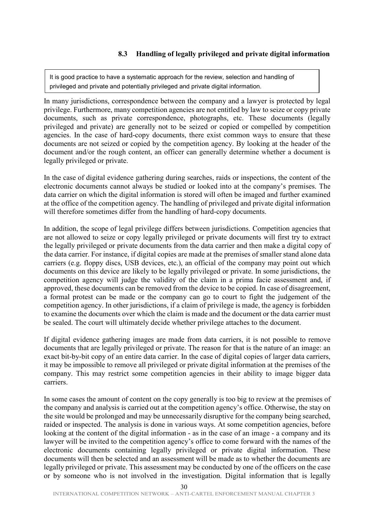<span id="page-29-0"></span>It is good practice to have a systematic approach for the review, selection and handling of privileged and private and potentially privileged and private digital information.

In many jurisdictions, correspondence between the company and a lawyer is protected by legal privilege. Furthermore, many competition agencies are not entitled by law to seize or copy private documents, such as private correspondence, photographs, etc. These documents (legally privileged and private) are generally not to be seized or copied or compelled by competition agencies. In the case of hard-copy documents, there exist common ways to ensure that these documents are not seized or copied by the competition agency. By looking at the header of the document and/or the rough content, an officer can generally determine whether a document is legally privileged or private.

In the case of digital evidence gathering during searches, raids or inspections, the content of the electronic documents cannot always be studied or looked into at the company's premises. The data carrier on which the digital information is stored will often be imaged and further examined at the office of the competition agency. The handling of privileged and private digital information will therefore sometimes differ from the handling of hard-copy documents.

In addition, the scope of legal privilege differs between jurisdictions. Competition agencies that are not allowed to seize or copy legally privileged or private documents will first try to extract the legally privileged or private documents from the data carrier and then make a digital copy of the data carrier. For instance, if digital copies are made at the premises of smaller stand alone data carriers (e.g. floppy discs, USB devices, etc.), an official of the company may point out which documents on this device are likely to be legally privileged or private. In some jurisdictions, the competition agency will judge the validity of the claim in a prima facie assessment and, if approved, these documents can be removed from the device to be copied. In case of disagreement, a formal protest can be made or the company can go to court to fight the judgement of the competition agency. In other jurisdictions, if a claim of privilege is made, the agency is forbidden to examine the documents over which the claim is made and the document or the data carrier must be sealed. The court will ultimately decide whether privilege attaches to the document.

If digital evidence gathering images are made from data carriers, it is not possible to remove documents that are legally privileged or private. The reason for that is the nature of an image: an exact bit-by-bit copy of an entire data carrier. In the case of digital copies of larger data carriers, it may be impossible to remove all privileged or private digital information at the premises of the company. This may restrict some competition agencies in their ability to image bigger data carriers.

In some cases the amount of content on the copy generally is too big to review at the premises of the company and analysis is carried out at the competition agency's office. Otherwise, the stay on the site would be prolonged and may be unnecessarily disruptive for the company being searched, raided or inspected. The analysis is done in various ways. At some competition agencies, before looking at the content of the digital information - as in the case of an image - a company and its lawyer will be invited to the competition agency's office to come forward with the names of the electronic documents containing legally privileged or private digital information. These documents will then be selected and an assessment will be made as to whether the documents are legally privileged or private. This assessment may be conducted by one of the officers on the case or by someone who is not involved in the investigation. Digital information that is legally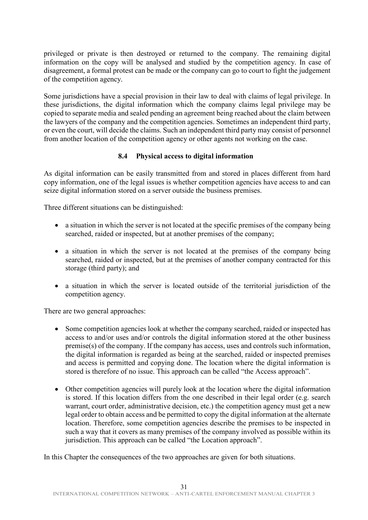privileged or private is then destroyed or returned to the company. The remaining digital information on the copy will be analysed and studied by the competition agency. In case of disagreement, a formal protest can be made or the company can go to court to fight the judgement of the competition agency.

Some jurisdictions have a special provision in their law to deal with claims of legal privilege. In these jurisdictions, the digital information which the company claims legal privilege may be copied to separate media and sealed pending an agreement being reached about the claim between the lawyers of the company and the competition agencies. Sometimes an independent third party, or even the court, will decide the claims. Such an independent third party may consist of personnel from another location of the competition agency or other agents not working on the case.

#### **8.4 Physical access to digital information**

<span id="page-30-0"></span>As digital information can be easily transmitted from and stored in places different from hard copy information, one of the legal issues is whether competition agencies have access to and can seize digital information stored on a server outside the business premises.

Three different situations can be distinguished:

- a situation in which the server is not located at the specific premises of the company being searched, raided or inspected, but at another premises of the company;
- a situation in which the server is not located at the premises of the company being searched, raided or inspected, but at the premises of another company contracted for this storage (third party); and
- a situation in which the server is located outside of the territorial jurisdiction of the competition agency.

There are two general approaches:

- Some competition agencies look at whether the company searched, raided or inspected has access to and/or uses and/or controls the digital information stored at the other business premise(s) of the company. If the company has access, uses and controls such information, the digital information is regarded as being at the searched, raided or inspected premises and access is permitted and copying done. The location where the digital information is stored is therefore of no issue. This approach can be called "the Access approach".
- Other competition agencies will purely look at the location where the digital information is stored. If this location differs from the one described in their legal order (e.g. search warrant, court order, administrative decision, etc.) the competition agency must get a new legal order to obtain access and be permitted to copy the digital information at the alternate location. Therefore, some competition agencies describe the premises to be inspected in such a way that it covers as many premises of the company involved as possible within its jurisdiction. This approach can be called "the Location approach".

In this Chapter the consequences of the two approaches are given for both situations.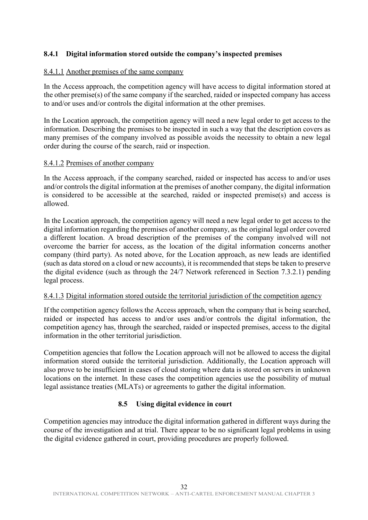# <span id="page-31-0"></span>**8.4.1 Digital information stored outside the company's inspected premises**

#### 8.4.1.1 Another premises of the same company

In the Access approach, the competition agency will have access to digital information stored at the other premise(s) of the same company if the searched, raided or inspected company has access to and/or uses and/or controls the digital information at the other premises.

In the Location approach, the competition agency will need a new legal order to get access to the information. Describing the premises to be inspected in such a way that the description covers as many premises of the company involved as possible avoids the necessity to obtain a new legal order during the course of the search, raid or inspection.

#### 8.4.1.2 Premises of another company

In the Access approach, if the company searched, raided or inspected has access to and/or uses and/or controls the digital information at the premises of another company, the digital information is considered to be accessible at the searched, raided or inspected premise(s) and access is allowed.

In the Location approach, the competition agency will need a new legal order to get access to the digital information regarding the premises of another company, as the original legal order covered a different location. A broad description of the premises of the company involved will not overcome the barrier for access, as the location of the digital information concerns another company (third party). As noted above, for the Location approach, as new leads are identified (such as data stored on a cloud or new accounts), it is recommended that steps be taken to preserve the digital evidence (such as through the 24/7 Network referenced in Section 7.3.2.1) pending legal process.

#### 8.4.1.3 Digital information stored outside the territorial jurisdiction of the competition agency

If the competition agency follows the Access approach, when the company that is being searched, raided or inspected has access to and/or uses and/or controls the digital information, the competition agency has, through the searched, raided or inspected premises, access to the digital information in the other territorial jurisdiction.

Competition agencies that follow the Location approach will not be allowed to access the digital information stored outside the territorial jurisdiction. Additionally, the Location approach will also prove to be insufficient in cases of cloud storing where data is stored on servers in unknown locations on the internet. In these cases the competition agencies use the possibility of mutual legal assistance treaties (MLATs) or agreements to gather the digital information.

# **8.5 Using digital evidence in court**

<span id="page-31-1"></span>Competition agencies may introduce the digital information gathered in different ways during the course of the investigation and at trial. There appear to be no significant legal problems in using the digital evidence gathered in court, providing procedures are properly followed.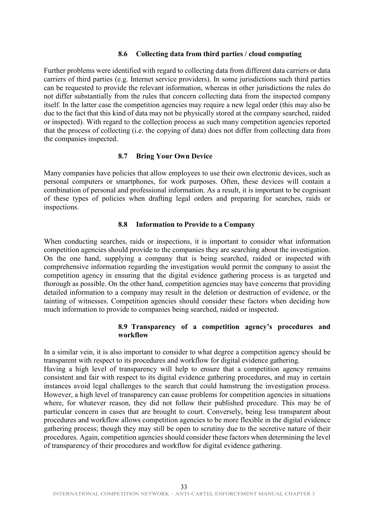#### **8.6 Collecting data from third parties / cloud computing**

<span id="page-32-0"></span>Further problems were identified with regard to collecting data from different data carriers or data carriers of third parties (e.g. Internet service providers). In some jurisdictions such third parties can be requested to provide the relevant information, whereas in other jurisdictions the rules do not differ substantially from the rules that concern collecting data from the inspected company itself. In the latter case the competition agencies may require a new legal order (this may also be due to the fact that this kind of data may not be physically stored at the company searched, raided or inspected). With regard to the collection process as such many competition agencies reported that the process of collecting (i.e. the copying of data) does not differ from collecting data from the companies inspected.

#### **8.7 Bring Your Own Device**

<span id="page-32-1"></span>Many companies have policies that allow employees to use their own electronic devices, such as personal computers or smartphones, for work purposes. Often, these devices will contain a combination of personal and professional information. As a result, it is important to be cognisant of these types of policies when drafting legal orders and preparing for searches, raids or inspections.

#### **8.8 Information to Provide to a Company**

<span id="page-32-2"></span>When conducting searches, raids or inspections, it is important to consider what information competition agencies should provide to the companies they are searching about the investigation. On the one hand, supplying a company that is being searched, raided or inspected with comprehensive information regarding the investigation would permit the company to assist the competition agency in ensuring that the digital evidence gathering process is as targeted and thorough as possible. On the other hand, competition agencies may have concerns that providing detailed information to a company may result in the deletion or destruction of evidence, or the tainting of witnesses. Competition agencies should consider these factors when deciding how much information to provide to companies being searched, raided or inspected.

#### **8.9 Transparency of a competition agency's procedures and workflow**

<span id="page-32-3"></span>In a similar vein, it is also important to consider to what degree a competition agency should be transparent with respect to its procedures and workflow for digital evidence gathering.

Having a high level of transparency will help to ensure that a competition agency remains consistent and fair with respect to its digital evidence gathering procedures, and may in certain instances avoid legal challenges to the search that could hamstrung the investigation process. However, a high level of transparency can cause problems for competition agencies in situations where, for whatever reason, they did not follow their published procedure. This may be of particular concern in cases that are brought to court. Conversely, being less transparent about procedures and workflow allows competition agencies to be more flexible in the digital evidence gathering process; though they may still be open to scrutiny due to the secretive nature of their procedures. Again, competition agencies should consider these factors when determining the level of transparency of their procedures and workflow for digital evidence gathering.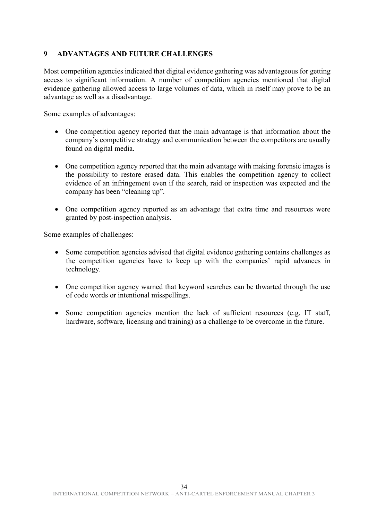# <span id="page-33-0"></span>**9 ADVANTAGES AND FUTURE CHALLENGES**

Most competition agencies indicated that digital evidence gathering was advantageous for getting access to significant information. A number of competition agencies mentioned that digital evidence gathering allowed access to large volumes of data, which in itself may prove to be an advantage as well as a disadvantage.

Some examples of advantages:

- One competition agency reported that the main advantage is that information about the company's competitive strategy and communication between the competitors are usually found on digital media.
- One competition agency reported that the main advantage with making forensic images is the possibility to restore erased data. This enables the competition agency to collect evidence of an infringement even if the search, raid or inspection was expected and the company has been "cleaning up".
- One competition agency reported as an advantage that extra time and resources were granted by post-inspection analysis.

Some examples of challenges:

- Some competition agencies advised that digital evidence gathering contains challenges as the competition agencies have to keep up with the companies' rapid advances in technology.
- One competition agency warned that keyword searches can be thwarted through the use of code words or intentional misspellings.
- Some competition agencies mention the lack of sufficient resources (e.g. IT staff, hardware, software, licensing and training) as a challenge to be overcome in the future.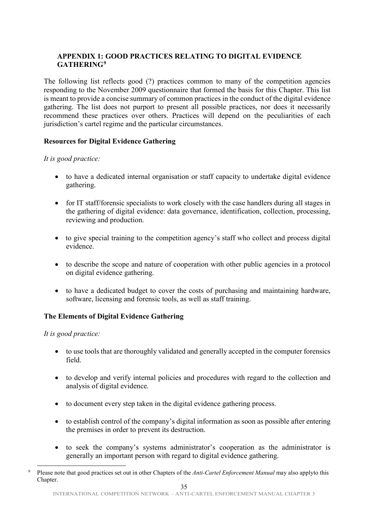# <span id="page-34-0"></span>**APPENDIX 1: GOOD PRACTICES RELATING TO DIGITAL EVIDENCE GATHERING[9](#page-34-1)**

The following list reflects good (?) practices common to many of the competition agencies responding to the November 2009 questionnaire that formed the basis for this Chapter. This list is meant to provide a concise summary of common practices in the conduct of the digital evidence gathering. The list does not purport to present all possible practices, nor does it necessarily recommend these practices over others. Practices will depend on the peculiarities of each jurisdiction's cartel regime and the particular circumstances.

# **Resources for Digital Evidence Gathering**

# *It is good practice:*

- to have a dedicated internal organisation or staff capacity to undertake digital evidence gathering.
- for IT staff/forensic specialists to work closely with the case handlers during all stages in the gathering of digital evidence: data governance, identification, collection, processing, reviewing and production.
- to give special training to the competition agency's staff who collect and process digital evidence.
- to describe the scope and nature of cooperation with other public agencies in a protocol on digital evidence gathering.
- to have a dedicated budget to cover the costs of purchasing and maintaining hardware, software, licensing and forensic tools, as well as staff training.

# **The Elements of Digital Evidence Gathering**

# *It is good practice:*

- to use tools that are thoroughly validated and generally accepted in the computer forensics field.
- to develop and verify internal policies and procedures with regard to the collection and analysis of digital evidence.
- to document every step taken in the digital evidence gathering process.
- to establish control of the company's digital information as soon as possible after entering the premises in order to prevent its destruction.
- to seek the company's systems administrator's cooperation as the administrator is generally an important person with regard to digital evidence gathering.

<span id="page-34-1"></span> <sup>9</sup> Please note that good practices set out in other Chapters of the *Anti-Cartel Enforcement Manual* may also applyto this Chapter.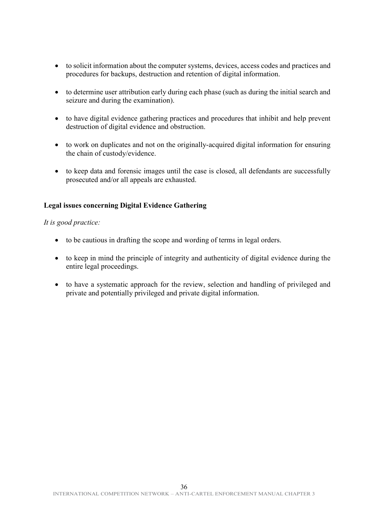- to solicit information about the computer systems, devices, access codes and practices and procedures for backups, destruction and retention of digital information.
- to determine user attribution early during each phase (such as during the initial search and seizure and during the examination).
- to have digital evidence gathering practices and procedures that inhibit and help prevent destruction of digital evidence and obstruction.
- to work on duplicates and not on the originally-acquired digital information for ensuring the chain of custody/evidence.
- to keep data and forensic images until the case is closed, all defendants are successfully prosecuted and/or all appeals are exhausted.

### **Legal issues concerning Digital Evidence Gathering**

#### *It is good practice:*

- to be cautious in drafting the scope and wording of terms in legal orders.
- to keep in mind the principle of integrity and authenticity of digital evidence during the entire legal proceedings.
- to have a systematic approach for the review, selection and handling of privileged and private and potentially privileged and private digital information.